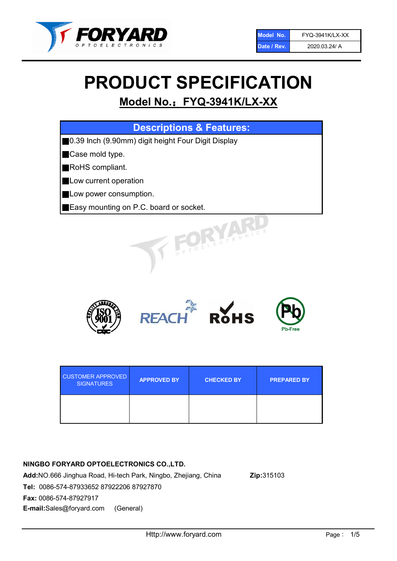

# PRODUCT SPECIFICATION

# Model No.: FYQ-3941K/LX-XX

| <b>Descriptions &amp; Features:</b>                |
|----------------------------------------------------|
| 0.39 Inch (9.90mm) digit height Four Digit Display |
| Case mold type.                                    |
| RoHS compliant.                                    |
| Low current operation                              |
| Low power consumption.                             |
| Easy mounting on P.C. board or socket.             |
| PIOELECTRONICS                                     |



| <b>CUSTOMER APPROVED</b><br><b>SIGNATURES</b> | <b>APPROVED BY</b> | <b>CHECKED BY</b> | <b>PREPARED BY</b> |
|-----------------------------------------------|--------------------|-------------------|--------------------|
|                                               |                    |                   |                    |

## NINGBO FORYARD OPTOELECTRONICS CO.,LTD.

Add:NO.666 Jinghua Road, Hi-tech Park, Ningbo, Zhejiang, China Zip:315103 Tel: 0086-574-87933652 87922206 87927870 Fax: 0086-574-87927917 E-mail:Sales@foryard.com (General)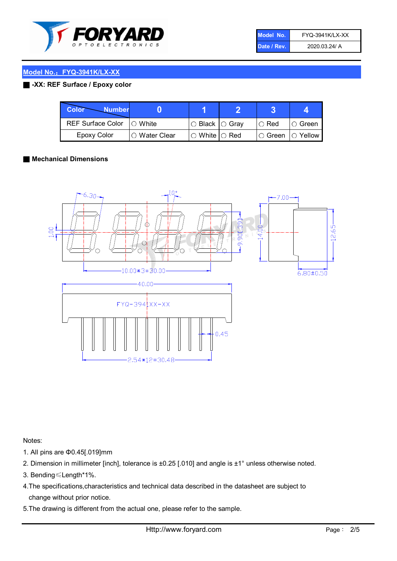

| Model No.   | <b>FYQ-3941K/LX-XX</b> |
|-------------|------------------------|
| Date / Rev. | 2020.03.24/ A          |

#### ■ -XX: REF Surface / Epoxy color

| Color<br><b>Number</b>      |                |                                                   |                              |               |
|-----------------------------|----------------|---------------------------------------------------|------------------------------|---------------|
| REF Surface Color   O White |                | $\circ$ Black $\circ$ Gray                        | $\cup$ Red                   | $\circ$ Green |
| Epoxy Color                 | I∩ Water Clear | $\mathbin{\varcap}$ White $\mathbin{\varcap}$ Red | $\circ$ Green $\circ$ Yellow |               |

#### ■ Mechanical Dimensions



Notes:

- 1. All pins are Φ0.45[.019]mm
- 2. Dimension in millimeter [inch], tolerance is ±0.25 [.010] and angle is ±1° unless otherwise noted.
- 3. Bending≤Length\*1%.
- 4.The specifications,characteristics and technical data described in the datasheet are subject to change without prior notice.
- 5.The drawing is different from the actual one, please refer to the sample.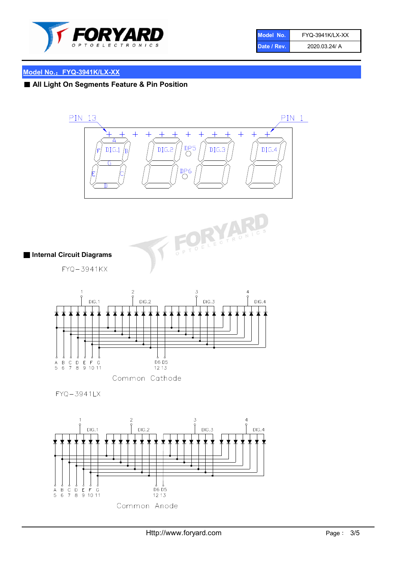

| Model No.   | FYQ-3941K/LX-XX |
|-------------|-----------------|
| Date / Rev. | 2020.03.24/ A   |

# ■ All Light On Segments Feature & Pin Position





#### ■ Internal Circuit Diagrams

FYQ-3941KX



#### $FYQ - 3941LX$

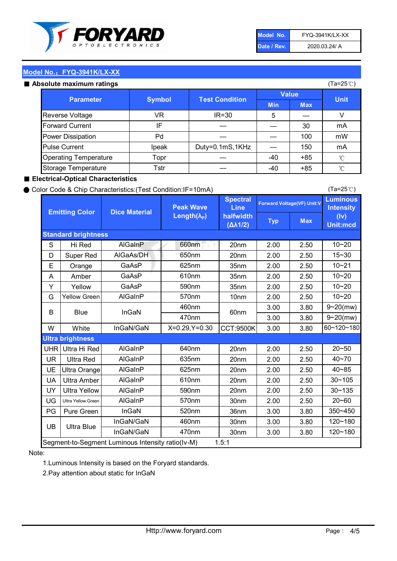

| Model No.   | <b>FYQ-3941K/LX-XX</b> |
|-------------|------------------------|
| Date / Rev. | 2020.03.24/ A          |

#### Absolute maximum

| ISUIULU IIIAAIIIIUIIII TALIIIYS |               |                       |              | (⊺a−∠J ∪ <i>)</i> |              |
|---------------------------------|---------------|-----------------------|--------------|-------------------|--------------|
| <b>Parameter</b>                | <b>Symbol</b> | <b>Test Condition</b> | <b>Value</b> |                   | <b>Unit</b>  |
|                                 |               |                       | <b>Min</b>   | <b>Max</b>        |              |
| Reverse Voltage                 | VR            | $IR = 30$             | 5            |                   |              |
| <b>Forward Current</b>          | ΙF            |                       |              | 30                | mA           |
| Power Dissipation               | Pd            |                       |              | 100               | mW           |
| <b>Pulse Current</b>            | Ipeak         | Duty=0.1mS,1KHz       |              | 150               | mA           |
| <b>Operating Temperature</b>    | Topr          |                       | $-40$        | $+85$             | $^{\circ}$ C |
| Storage Temperature             | Tstr          |                       | $-40$        | $+85$             | °C           |

#### ■ Electrical-Optical Characteristics

#### ● Color Code & Chip Characteristics:(Test Condition:IF=10mA)

Typ Max S | Hi $\textsf{Red}$  | AlGaInP | 660nm LE 20nm | 2.00 | 2.50 D | Super Red | AIGaAs/DH | 650nm | 20nm | 2.00 | 2.50 E | Orange | GaAsP | 625nm | 35nm | 2.00 | 2.50 A | Amber | GaAsP | 610nm | 35nm | 2.00 | 2.50 Y | Yellow | GaAsP | 590nm | 35nm | 2.00 | 2.50 G Yellow Green AIGaInP | 570nm | 10nm | 2.00 | 2.50 3.00 3.80 3.00 3.80 W | White | InGaN/GaN | X=0.29,Y=0.30 |CCT:9500K| 3.00 | 3.80 UHR Ultra Hi Red  $\vert$  AIGaInP  $\vert$  640nm  $\vert$  20nm  $\vert$  2.00  $\vert$  2.50 UR | Ultra Red | AlGaInP | 635nm | 20nm | 2.00 | 2.50 UE Ultra Orange | AIGaInP | 625nm | 20nm | 2.00 | 2.50 UA Ultra Amber | AIGaInP | 610nm | 20nm | 2.00 | 2.50  $UV$  Ultra Yellow  $\vert$  AlGaInP  $\vert$  590nm  $\vert$  20nm  $\vert$  2.00  $\vert$  2.50  $\text{UG}$  Ultra Yellow Green | AIGaInP | 570nm | 30nm | 2.00 | 2.50 PG Pure Green | InGaN | 520nm | 36nm | 3.00 | 3.80 30nm 3.00 3.80 30nm 3.00 3.80 40~85 60~120~180 40~70 Segment-to-Segment Luminous Intensity ratio(Iv-M) 1.5:1 610nm 9~20(mw) 350~450 470nm 120~180 120~180 Ultra Blue InGaN/GaN 9~20(mw) 20~50 570nm | 30nm | 2.00 | 2.50 | 20~60 470nm 590nm InGaN/GaN B Blue I InGaN 570nm | 10nm | 2.00 | 2.50 | 10~20 30~105 30~135 460nm 520nm Ultra brightness **AlGaInP** AlGaInP 60nm AlGaInP 640nm Peak Wave Length $(\lambda_{\rm P})$ UB 460nm 635nm AlGaInP AlGaInP AlGaInP InGaN/GaN AlGaInP 10~20 Luminous **Intensity** (Iv) Unit:mcd AlGainP 660nm GaAsP GaAsP AlGaAs/DH **Spectral** Line halfwidth (∆λ1/2) 10~20 Standard brightness Forward Voltage(VF) Unit:V 15~30 10~20 625nm GaAsP 590nm **Emitting Color Dice Material** 10~21 610nm

#### Note:

1.Luminous Intensity is based on the Foryard standards.

2.Pay attention about static for InGaN

(Ta=25℃)

(Ta=25℃)